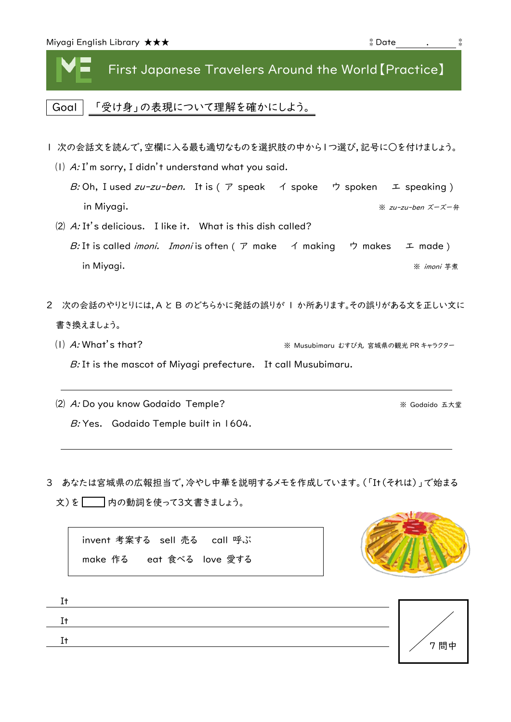First Japanese Travelers Around the World【Practice】

Goal 「受け身」の表現について理解を確かにしよう。

- Ⅰ 次の会話文を読んで,空欄に入る最も適切なものを選択肢の中から1つ選び,記号に○を付けましょう。
	- ⑴ A: I'm sorry, I didn't understand what you said. B: Oh, I used zu-zu-ben. It is (  $\triangledown$  speak  $\preceq$  spoken  $\preceq$  speaking ) in Miyagi. ※ <sup>z</sup>u-zu-ben ズーズー弁
	- ⑵ A: It's delicious. I like it. What is this dish called? B: It is called *imoni. Imoni* is often ( ア make イ making ウ makes エ made ) in Miyagi. ※ *imoni* 芋煮
- 2 次の会話のやりとりには,A と B のどちらかに発話の誤りが 1 か所あります。その誤りがある文を正しい文に 書き換えましょう。
	- ⑴ A: What's that? ※ Musubimaru むすび丸 宮城県の観光 PR キャラクター B: It is the mascot of Miyagi prefecture. It call Musubimaru.
	- (2) A: Do you know Godaido Temple? <br>
	※ Godaido 五大堂 B: Yes. Godaido Temple built in 1604.
- 3 あなたは宮城県の広報担当で,冷やし中華を説明するメモを作成しています。(「It(それは)」で始まる

 $\overline{x}$ )を $\overline{z}$ 内の動詞を使って3文書きましょう。

invent 考案する sell 売る call 呼ぶ make 作る eat 食べる love 愛する